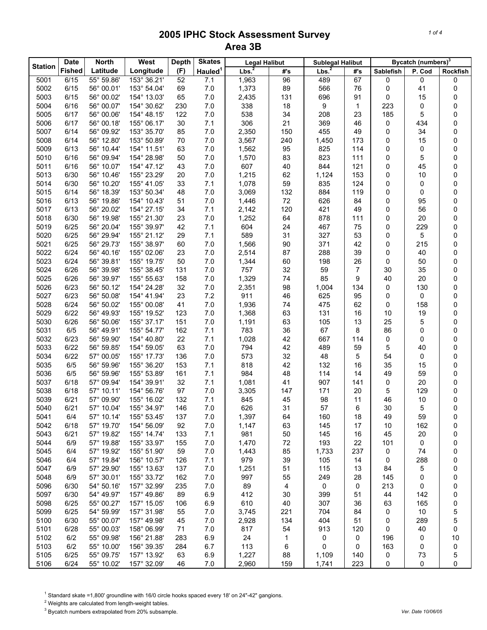| <b>Station</b> | <b>Date</b>   | <b>North</b>             | West        | <b>Depth</b> | <b>Skates</b>       | <b>Legal Halibut</b> |           | <b>Sublegal Halibut</b> |                |                  | Bycatch (numbers) <sup>3</sup> |          |
|----------------|---------------|--------------------------|-------------|--------------|---------------------|----------------------|-----------|-------------------------|----------------|------------------|--------------------------------|----------|
|                | <b>Fished</b> | Latitude                 | Longitude   | (F)          | Hauled <sup>1</sup> | Lbs. <sup>2</sup>    | #'s       | Lbs <sup>2</sup>        | #'s            | <b>Sablefish</b> | P. Cod                         | Rockfish |
| 5001           | 6/15          | 55° 59.86'               | 153° 36.21' | 52           | 7.1                 | 1,963                | 96        | 489                     | 67             | 0                | 0                              | 0        |
| 5002           | 6/15          | 56° 00.01'               | 153° 54.04' | 69           | $7.0\,$             | 1,373                | 89        | 566                     | 76             | 0                | 41                             | 0        |
| 5003           | 6/15          | 56° 00.02'               | 154° 13.03' | 65           | 7.0                 | 2,435                | 131       | 696                     | 91             | 0                | 15                             | 0        |
| 5004           | 6/16          | 56° 00.07'               | 154° 30.62' | 230          | 7.0                 | 338                  | 18        | 9                       | 1              | 223              | 0                              | 0        |
| 5005           | 6/17          | 56° 00.06'               | 154° 48.15' | 122          | $7.0$               | 538                  | 34        | 208                     | 23             | 185              | 5                              | 0        |
| 5006           | 6/17          | 56° 00.18'               | 155° 06.17' | 30           | 7.1                 | 306                  | 21        | 369                     | 46             | 0                | 434                            | 0        |
| 5007           | 6/14          | 56° 09.92'               | 153° 35.70' | 85           | $7.0$               | 2,350                | 150       | 455                     | 49             | 0                | 34                             | 0        |
| 5008           | 6/14          | 56° 12.80'               | 153° 50.89' | 70           | $7.0\,$             | 3,567                | 240       | 1,450                   | 173            | 0                | 15                             | 0        |
| 5009           | 6/13          | 56° 10.44'               | 154° 11.51' | 63           | 7.0                 | 1,562                | 95        | 825                     | 114            | $\mathbf 0$      | 0                              | 0        |
| 5010           | 6/16          | 56° 09.94'               | 154° 28.98' | 50           | $7.0$               | 1,570                | 83        | 823                     | 111            | 0                | 5                              | 0        |
| 5011           | 6/16          | 56° 10.07'               | 154° 47.12' | 43           | $7.0\,$             | 607                  | 40        | 844                     | 121            | 0                | 45                             | 0        |
| 5013           | 6/30          | 56° 10.46'               | 155° 23.29' | 20           | $7.0$               | 1,215                | 62        | 1,124                   | 153            | 0                | 10                             | 0        |
| 5014           | 6/30          | 56° 10.20'               | 155° 41.05' | 33           | 7.1                 | 1,078                | 59        | 835                     | 124            | 0                | 0                              | 0        |
| 5015           | 6/14          | 56° 18.39'               | 153° 50.34' | 48           | 7.0                 | 3,069                | 132       | 884                     | 119            | 0                | 0                              | 0        |
| 5016           | 6/13          | 56° 19.86'               | 154° 10.43' | 51           | 7.0                 | 1,446                | 72        | 626                     | 84             | 0                | 95                             | 0        |
| 5017           | 6/13          | 56° 20.02'               | 154° 27.15' | 34           | 7.1                 | 2,142                | 120       | 421                     | 49             | 0                | 56                             | 0        |
| 5018           | 6/30          | 56° 19.98'               | 155° 21.30' | 23           | $7.0$               | 1,252                | 64        | 878                     | 111            | 0                | 20                             | 0        |
| 5019           | 6/25          | 56° 20.04'               | 155° 39.97' | 42           | 7.1                 | 604                  | 24        | 467                     | 75             | 0                | 229                            | 0        |
| 5020           | 6/25          | 56° 29.94'               | 155° 21.12' | 29           | 7.1                 | 589                  | 31        | 327                     | 53             | 0                | 5                              | 0        |
| 5021           | 6/25          | 56° 29.73'               | 155° 38.97' | 60           | 7.0                 | 1,566                | 90        | 371                     | 42             | 0                | 215                            | 0        |
| 5022           | 6/24          | 56° 40.16'               | 155° 02.06' | 23           | $7.0$               | 2,514                | 87        | 288                     | 39             | 0                | 40                             | 0        |
| 5023           | 6/24          | 56° 39.81'               | 155° 19.75' | 50           | $7.0$               | 1,344                | 60        | 198                     | 26             | 0                | 50                             | 0        |
| 5024           | 6/26          | 56° 39.98'               | 155° 38.45' | 131          | 7.0                 | 757                  | 32        | 59                      | $\overline{7}$ | 30               | 35                             | 0        |
| 5025           | 6/26          | 56° 39.97'               | 155° 55.63' | 158          | $7.0$               | 1,329                | 74        | 85                      | 9              | 40               | 20                             | 0        |
| 5026           | 6/23          | 56° 50.12'               | 154° 24.28' | 32           | 7.0                 | 2,351                | 98        | 1,004                   | 134            | 0                | 130                            | 0        |
| 5027           | 6/23          | 56° 50.08'               | 154° 41.94' | 23           | 7.2                 | 911                  | 46        | 625                     | 95             | 0                | 0                              | 0        |
| 5028           | 6/24          | 56° 50.02'               | 155° 00.08' | 41           | 7.0                 | 1,936                | 74        | 475                     | 62             | 0                | 158                            | 0        |
| 5029           | 6/22          | 56° 49.93'               | 155° 19.52' | 123          | 7.0                 | 1,368                | 63        | 131                     | 16             | 10               | 19                             | 0        |
| 5030           | 6/26          | 56° 50.06'               | 155° 37.17' | 151          | $7.0$               | 1,191                | 63        | 105                     | 13             | 25               | 5                              | 0        |
| 5031           | 6/5           | 56° 49.91'               | 155° 54.77' | 162          | 7.1                 | 783                  | 36        | 67                      | 8              | 86               | 0                              | 0        |
| 5032           | 6/23          | 56° 59.90'               | 154° 40.80' | 22           | 7.1                 | 1,028                | 42        | 667                     | 114            | 0                | 0                              | 0        |
| 5033           | 6/22          | 56° 59.85'               | 154° 59.05' | 63           | $7.0\,$             | 794                  | 42        | 489                     | 59             | 5                | 40                             | 0        |
| 5034           | 6/22          | 57° 00.05'               | 155° 17.73' | 136          | 7.0                 | 573                  | 32        | 48                      | 5              | 54               | 0                              | 0        |
| 5035           | 6/5           | 56° 59.96'               | 155° 36.20' | 153          | 7.1                 | 818                  | 42        | 132                     | 16             | 35               | 15                             | 0        |
| 5036           | 6/5           | 56° 59.96'               | 155° 53.89' | 161          | 7.1                 | 984                  | 48        | 114                     | 14             | 49               | 59                             | 0        |
| 5037           | 6/18          | 57° 09.94'               | 154° 39.91' | 32           | 7.1                 | 1,081                | 41        | 907                     | 141            | 0                | 20                             | 0        |
| 5038           | 6/18          | 57° 10.11'               | 154° 56.76' | 97           | 7.0                 | 3,305                | 147       | 171                     | 20             | 5                | 129                            | 0        |
| 5039           | 6/21          | 57° 09.90'               | 155° 16.02' | 132          | 7.1                 | 845                  | 45        | 98                      | 11             | 46               | 10                             | 0        |
| 5040           | 6/21          | 57° 10.04'               | 155° 34.97' | 146          | 7.0                 | 626                  | 31        | 57                      | 6              | 30               | 5                              | 0        |
| 5041           | 6/4           | 57° 10.14'               | 155° 53.45' | 137          | 7.0                 | 1,397                | 64        | 160                     | 18             | 49               | 59                             | 0        |
| 5042           | 6/18          | 57° 19.70'               | 154° 56.09' | 92           | 7.0                 | 1,147                | 63        | 145                     | 17             | 10               | 162                            | 0        |
| 5043           | 6/21          | 57° 19.82'               | 155° 14.74' | 133          | 7.1                 | 981                  | 50        | 145                     | 16             | 45               | 20                             | 0        |
| 5044           | 6/9           | 57° 19.88'               | 155° 33.97' | 155          | 7.0                 | 1,470                | 72        | 193                     | 22             | 101              | 0                              | 0        |
| 5045           | 6/4           | 57° 19.92'               | 155° 51.90' | 59           | $7.0$               | 1,443                | 85        | 1,733                   | 237            | 0                | 74                             | 0        |
| 5046           | 6/4           | 57° 19.84'               | 156° 10.57' | 126          | 7.1                 | 979                  | 39        | 105                     | 14             | 0                | 288                            | 0        |
| 5047           | 6/9           | 57° 29.90'               | 155° 13.63' | 137          | 7.0                 | 1,251                | 51        | 115                     | 13             | 84               | 5                              | 0        |
| 5048           | 6/9           | 57° 30.01'               | 155° 33.72' | 162          | $7.0$               | 997                  | 55        | 249                     | 28             | 145              | 0                              | 0        |
| 5096           | 6/30          | 54° 50.16'               | 157° 32.99' | 235          | $7.0$               | 89                   | 4         | 0                       | 0              | 213              | 0                              | 0        |
| 5097           | 6/30          | 54° 49.97'               | 157° 49.86' | 89           | 6.9                 | 412                  | 30        | 399                     | 51             | 44               | 142                            | 0        |
| 5098           | 6/25          | 55° 00.27'               | 157° 15.05' | 106          | 6.9                 | 610                  | 40        | 307                     | 36             | 63               | 165                            | 0        |
| 5099           | 6/25          | 54° 59.99'               | 157° 31.98' | 55           | 7.0                 | 3,745                | 221       | 704                     | 84             | 0                | 10                             | 5        |
| 5100           | 6/30          | 55° 00.07'               | 157° 49.98' | 45           | 7.0                 | 2,928                | 134       | 404                     | 51             | 0                | 289                            | 5        |
| 5101           | 6/28          | 55° 00.03'               | 158° 06.99' | 71           | 7.0                 | 817                  | 54        | 913                     | 120            | 0                | 40                             | 0        |
|                | 6/2           | 55° 09.98'               | 156° 21.88' |              | 6.9                 | 24                   | 1         |                         |                | 196              |                                |          |
| 5102<br>5103   | 6/2           |                          | 156° 39.35' | 283<br>284   |                     |                      |           | 0<br>0                  | 0<br>0         |                  | 0<br>0                         | 10       |
| 5105           | 6/25          | 55° 10.00'<br>55° 09.75' | 157° 13.92' |              | 6.7                 | 113<br>1,227         | 6         |                         |                | 163              |                                | 0        |
| 5106           | 6/24          | 55° 10.02'               | 157° 32.09' | 63<br>46     | 6.9<br>7.0          | 2,960                | 88<br>159 | 1,109<br>1,741          | 140<br>223     | 0<br>0           | 73<br>0                        | 5<br>0   |
|                |               |                          |             |              |                     |                      |           |                         |                |                  |                                |          |

 $1$  Standard skate =1,800' groundline with 16/0 circle hooks spaced every 18' on 24"-42" gangions.

 $2$  Weights are calculated from length-weight tables.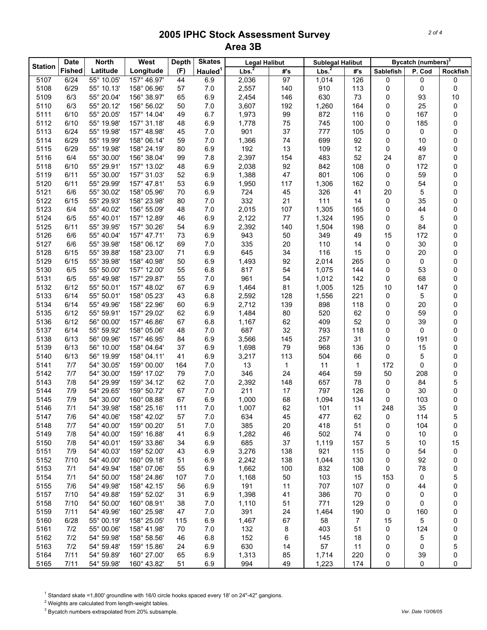| <b>Station</b>                                                                                                             |           |        | Bycatch (numbers) <sup>3</sup> |  |
|----------------------------------------------------------------------------------------------------------------------------|-----------|--------|--------------------------------|--|
| Lbs <sup>2</sup><br>Lbs. <sup>2</sup><br>Latitude<br>(F)<br>Hauled <sup>1</sup><br><b>Fished</b><br>Longitude<br>#s<br>#'s | Sablefish | P. Cod | Rockfish                       |  |
| 55° 10.05'<br>97<br>126<br>5107<br>6/24<br>157° 46.97'<br>44<br>6.9<br>2,036<br>1,014                                      | 0         | 0      | 0                              |  |
| 6/29<br>55° 10.13'<br>2,557<br>910<br>5108<br>158° 06.96'<br>57<br>$7.0$<br>140<br>113                                     | 0         | 0      | 0                              |  |
| 6/3<br>630<br>5109<br>55° 20.04'<br>156° 38.97'<br>65<br>6.9<br>2,454<br>146<br>73                                         | 0         | 93     | 10                             |  |
| 6/3<br>55° 20.12'<br>7.0<br>3,607<br>192<br>1,260<br>164<br>5110<br>156° 56.02'<br>50                                      | 0         | 25     | 0                              |  |
| 872<br>5111<br>6/10<br>55° 20.05'<br>157° 14.04'<br>49<br>6.7<br>1,973<br>99<br>116                                        | 0         | 167    | 0                              |  |
| 75<br>745<br>5112<br>6/10<br>55° 19.98'<br>157° 31.18'<br>48<br>6.9<br>1,778<br>100                                        | 0         | 185    | 0                              |  |
| 37<br>777<br>5113<br>6/24<br>55° 19.98'<br>157° 48.98'<br>45<br>7.0<br>901<br>105                                          | 0         | 0      | 0                              |  |
| 74<br>699<br>5114<br>6/29<br>55° 19.99'<br>158° 06.14'<br>59<br>7.0<br>92<br>1,366                                         | 0         | 10     | 0                              |  |
| 109<br>6/29<br>55° 19.98'<br>80<br>6.9<br>192<br>13<br>12<br>5115<br>158° 24.19'                                           | 0         | 49     | 0                              |  |
| 2,397<br>483<br>52<br>6/4<br>55° 30.00'<br>156° 38.04'<br>99<br>7.8<br>154<br>5116                                         | 24        | 87     | 0                              |  |
| 92<br>842<br>5118<br>6/10<br>55° 29.91'<br>157° 13.02'<br>48<br>6.9<br>2,038<br>108                                        | 0         | 172    | 0                              |  |
| 1,388<br>801<br>5119<br>6/11<br>55° 30.00'<br>157° 31.03'<br>52<br>6.9<br>47<br>106                                        | 0         | 59     | 0                              |  |
| 5120<br>6/11<br>55° 29.99'<br>157° 47.81'<br>53<br>6.9<br>1,950<br>117<br>1,306<br>162                                     | 0         | 54     | 0                              |  |
| 5121<br>6/6<br>55° 30.02'<br>158° 05.96'<br>70<br>724<br>45<br>326<br>6.9<br>41                                            | 20        | 5      | 0                              |  |
| 332<br>111<br>5122<br>6/15<br>55° 29.93'<br>158° 23.98'<br>80<br>21<br>14<br>7.0                                           | 0         | 35     | 0                              |  |
| 5123<br>6/4<br>55° 40.02'<br>48<br>7.0<br>2,015<br>107<br>1,305<br>165<br>156° 55.09'                                      | 0         | 44     | 0                              |  |
| 1,324<br>5124<br>6/5<br>55° 40.01'<br>157° 12.89'<br>46<br>6.9<br>2,122<br>$77\,$<br>195                                   | 0         | 5      | 0                              |  |
| 5125<br>6/11<br>55° 39.95'<br>157° 30.26'<br>54<br>6.9<br>2,392<br>140<br>1,504<br>198                                     | 0         | 84     | 0                              |  |
| 5126<br>6/6<br>55° 40.04'<br>157° 47.71'<br>73<br>943<br>50<br>349<br>6.9<br>49                                            | 15        | 172    | 0                              |  |
| 110<br>5127<br>6/6<br>55° 39.98'<br>69<br>335<br>20<br>158° 06.12'<br>7.0<br>14                                            | 0         | 30     | 0                              |  |
| 645<br>116<br>5128<br>6/15<br>55° 39.88'<br>158° 23.00'<br>71<br>6.9<br>34<br>15                                           | 0         | 20     | 0                              |  |
| 92<br>5129<br>6/15<br>55° 39.98'<br>158° 40.98'<br>50<br>6.9<br>1,493<br>2,014<br>265                                      | 0         | 0      | 0                              |  |
| 55<br>817<br>5130<br>6/5<br>55° 50.00'<br>157° 12.00'<br>6.8<br>54<br>1,075<br>144                                         | 0         | 53     | 0                              |  |
| 5131<br>6/5<br>55° 49.98'<br>157° 29.87'<br>55<br>7.0<br>961<br>54<br>1,012<br>142                                         | 0         | 68     | 0                              |  |
| 5132<br>6/12<br>55° 50.01'<br>157° 48.02'<br>67<br>6.9<br>1,464<br>81<br>1,005<br>125                                      | 10        | 147    | 0                              |  |
| 5133<br>6/14<br>43<br>6.8<br>2,592<br>128<br>1,556<br>221<br>55° 50.01'<br>158° 05.23'                                     | 0         | 5      | 0                              |  |
| 5134<br>6/14<br>55° 49.96'<br>158° 22.96'<br>60<br>6.9<br>2,712<br>139<br>898<br>118                                       | 0         | 20     | 0                              |  |
| 520<br>5135<br>6/12<br>55° 59.91'<br>157° 29.02'<br>62<br>6.9<br>1,484<br>80<br>62                                         | 0         | 59     | 0                              |  |
| 409<br>6/12<br>56° 00.00'<br>157° 46.86'<br>67<br>1,167<br>62<br>52<br>5136<br>6.8                                         | 0         | 39     | 0                              |  |
| 5137<br>6/14<br>55° 59.92'<br>158° 05.06'<br>48<br>7.0<br>687<br>32<br>793<br>118                                          | 0         | 0      | 0                              |  |
| 257<br>5138<br>6/13<br>56° 09.96'<br>157° 46.95'<br>84<br>6.9<br>3,566<br>145<br>31                                        | 0         | 191    | 0                              |  |
| 37<br>968<br>5139<br>6/13<br>56° 10.00'<br>158° 04.64'<br>6.9<br>1,698<br>79<br>136                                        | 0         | 15     | 0                              |  |
| 6/13<br>56° 19.99'<br>158° 04.11'<br>41<br>6.9<br>3,217<br>113<br>504<br>66<br>5140                                        | 0         | 5      | 0                              |  |
| 13<br>5141<br>7/7<br>54° 30.05'<br>159° 00.00'<br>7.0<br>1<br>11<br>164<br>1                                               | 172       | 0      | 0                              |  |
| 7/7<br>54° 30.00'<br>159° 17.02'<br>7.0<br>346<br>24<br>464<br>59<br>5142<br>79                                            | 50        | 208    | 0                              |  |
| 5143<br>7/8<br>54° 29.99'<br>62<br>2,392<br>148<br>657<br>78<br>159° 34.12'<br>7.0                                         | 0         | 84     | 5                              |  |
| 211<br>797<br>7/9<br>67<br>$7.0$<br>17<br>126<br>5144<br>54° 29.65'<br>159° 50.72'                                         | 0         | 30     | 0                              |  |
| 5145<br>7/9<br>54° 30.00'<br>160° 08.88'<br>67<br>6.9<br>1,000<br>68<br>1,094<br>134                                       | 0         | 103    | 0                              |  |
| 62<br>5146<br>7/1<br>54° 39.98'<br>158° 25.16'<br>111<br>$7.0$<br>1,007<br>101<br>11                                       | 248       | 35     | 0                              |  |
| 5147<br>54° 40.06'<br>158° 42.02'<br>7.0<br>634<br>7/6<br>57<br>45<br>477<br>62                                            | 0         | 114    | 5                              |  |
| 5148<br>54° 40.00'<br>7.0<br>385<br>418<br>51<br>7/7<br>159° 00.20'<br>51<br>20                                            | 0         | 104    | 0                              |  |
| 5149<br>7/8<br>54° 40.00'<br>6.9<br>1,282<br>46<br>502<br>74<br>159° 16.88'<br>41                                          | 0         | 10     | 0                              |  |
| 5150<br>54° 40.01'<br>159° 33.86'<br>6.9<br>685<br>37<br>1,119<br>157<br>7/8<br>34                                         | 5         | 10     | 15                             |  |
| 921<br>5151<br>54° 40.03'<br>159° 52.00'<br>6.9<br>3,276<br>115<br>7/9<br>43<br>138                                        | 0         | 54     | 0                              |  |
| 54° 40.00'<br>1,044<br>5152<br>7/10<br>160° 09.18'<br>51<br>6.9<br>2,242<br>138<br>130                                     | 0         | 92     | 0                              |  |
| 5153<br>54° 49.94'<br>832<br>7/1<br>158° 07.06'<br>55<br>6.9<br>1,662<br>100<br>108                                        | 0         | 78     | 0                              |  |
| 5154<br>7/1<br>54° 50.00'<br>158° 24.86'<br>50<br>103<br>15<br>107<br>7.0<br>1,168                                         | 153       | 0      | 5                              |  |
| 707<br>5155<br>54° 49.98'<br>158° 42.15'<br>56<br>6.9<br>191<br>11<br>107<br>7/6                                           | 0         | 44     | 0                              |  |
| 5157<br>54° 49.88'<br>159° 52.02'<br>31<br>6.9<br>1,398<br>41<br>386<br>70<br>7/10                                         | 0         | 0      | 0                              |  |
| 5158<br>7/10<br>54° 50.00'<br>160° 08.91'<br>38<br>51<br>771<br>129<br>7.0<br>1,110                                        | 0         | 0      | 0                              |  |
| 5159<br>7/11<br>54° 49.96'<br>160° 25.98'<br>391<br>47<br>7.0<br>24<br>1,464<br>190                                        | 0         | 160    | 0                              |  |
| 6/28<br>58<br>5160<br>55° 00.19'<br>158° 25.05'<br>115<br>6.9<br>1,467<br>67<br>$\overline{7}$                             | 15        | 5      | 0                              |  |
| 5161<br>7/2<br>$7.0$<br>132<br>8<br>403<br>55° 00.06'<br>158° 41.98'<br>70<br>51                                           | 0         | 124    | 0                              |  |
| 7/2<br>54° 59.98'<br>152<br>6<br>5162<br>158° 58.56'<br>46<br>6.8<br>145<br>18                                             | 0         | 5      | 0                              |  |
| 5163<br>7/2<br>630<br>57<br>54° 59.48'<br>159° 15.86'<br>24<br>6.9<br>11<br>14                                             | 0         | 0      | 5                              |  |
| 7/11<br>220<br>5164<br>54° 59.89'<br>160° 27.00'<br>65<br>6.9<br>1,313<br>85<br>1,714                                      | 0         | 39     | 0                              |  |
| 7/11<br>1,223<br>5165<br>54° 59.98'<br>160° 43.82'<br>51<br>6.9<br>994<br>49<br>174                                        | 0         | 0      | 0                              |  |

 $1$  Standard skate =1,800' groundline with 16/0 circle hooks spaced every 18' on 24"-42" gangions.

 $2$  Weights are calculated from length-weight tables.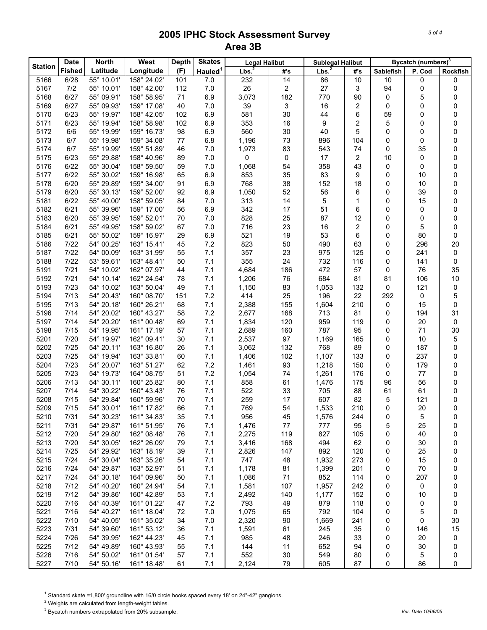| Latitude<br>(F)<br>Longitude<br>#'s<br>#'s<br><b>Sablefish</b><br>P. Cod<br>Rockfish<br>6/28<br>55° 10.01'<br>158° 24.02'<br>7.0<br>232<br>14<br>86<br>10<br>10<br>5166<br>101<br>0<br>0<br>7/2<br>26<br>27<br>94<br>5167<br>55° 10.01'<br>158° 42.00'<br>112<br>$7.0$<br>2<br>3<br>0<br>0<br>6/27<br>3,073<br>182<br>5168<br>55° 09.91'<br>158° 58.95'<br>71<br>6.9<br>770<br>90<br>0<br>5<br>0<br>6/27<br>5169<br>55° 09.93'<br>159° 17.08'<br>40<br>7.0<br>39<br>3<br>16<br>2<br>0<br>0<br>0<br>6/23<br>30<br>6<br>5170<br>55° 19.97'<br>158° 42.05'<br>102<br>6.9<br>581<br>44<br>59<br>0<br>0<br>6/23<br>$\boldsymbol{2}$<br>5<br>5171<br>55° 19.94'<br>158° 58.98'<br>102<br>6.9<br>353<br>16<br>9<br>0<br>0<br>560<br>30<br>5172<br>6/6<br>55° 19.99'<br>159° 16.73'<br>98<br>6.9<br>40<br>5<br>0<br>0<br>0<br>5173<br>6/7<br>55° 19.98'<br>159° 34.08'<br>77<br>1,196<br>73<br>896<br>104<br>0<br>0<br>6.8<br>0<br>6/7<br>55° 19.99'<br>159° 51.89'<br>$7.0$<br>83<br>543<br>74<br>0<br>35<br>0<br>5174<br>46<br>1,973<br>6/23<br>5175<br>55° 29.88'<br>158° 40.96'<br>89<br>$7.0$<br>0<br>0<br>17<br>2<br>10<br>0<br>0<br>6/22<br>358<br>5176<br>55° 30.04'<br>158° 59.50'<br>59<br>7.0<br>1,068<br>54<br>43<br>0<br>0<br>0<br>6/22<br>35<br>83<br>5177<br>55° 30.02'<br>159° 16.98'<br>65<br>6.9<br>853<br>9<br>0<br>0<br>10<br>6/20<br>152<br>5178<br>55° 29.89'<br>159° 34.00'<br>91<br>6.9<br>768<br>38<br>0<br>18<br>0<br>10<br>6/20<br>55° 30.13'<br>159° 52.00'<br>92<br>6.9<br>1,050<br>52<br>56<br>6<br>0<br>39<br>0<br>5179<br>6/22<br>5181<br>55° 40.00'<br>158° 59.05'<br>84<br>$7.0$<br>313<br>14<br>5<br>$\mathbf{1}$<br>15<br>0<br>0<br>6/21<br>56<br>342<br>17<br>51<br>5182<br>55° 39.96'<br>159° 17.00'<br>6.9<br>6<br>0<br>0<br>0<br>5183<br>6/20<br>55° 39.95'<br>159° 52.01'<br>70<br>$7.0$<br>828<br>25<br>87<br>12<br>0<br>0<br>0<br>23<br>5184<br>6/21<br>55° 49.95'<br>158° 59.02'<br>67<br>$7.0$<br>716<br>16<br>2<br>0<br>5<br>0<br>6/21<br>53<br>5185<br>55° 50.02'<br>159° 16.97'<br>6.9<br>521<br>19<br>6<br>0<br>0<br>29<br>80<br>7/22<br>5186<br>54° 00.25'<br>163° 15.41'<br>45<br>7.2<br>823<br>50<br>490<br>63<br>0<br>296<br>20<br>7/22<br>55<br>7.1<br>357<br>23<br>975<br>125<br>5187<br>54° 00.09'<br>163° 31.99'<br>0<br>241<br>0<br>7/22<br>7.1<br>355<br>24<br>732<br>53° 59.61'<br>163° 48.41'<br>50<br>116<br>0<br>141<br>0<br>5188<br>7/21<br>4,684<br>472<br>35<br>5191<br>54° 10.02'<br>162° 07.97'<br>44<br>7.1<br>186<br>57<br>76<br>0<br>7/21<br>7.1<br>684<br>5192<br>54° 10.14'<br>162° 24.54'<br>78<br>1,206<br>76<br>81<br>81<br>106<br>10<br>7/23<br>7.1<br>5193<br>54° 10.02'<br>163° 50.04'<br>83<br>1,053<br>132<br>0<br>49<br>1,150<br>0<br>121<br>7/13<br>7.2<br>196<br>5<br>5194<br>151<br>414<br>25<br>22<br>292<br>54° 20.43'<br>160° 08.70'<br>0<br>7.1<br>0<br>7/13<br>54° 20.18'<br>160° 26.21'<br>68<br>2,388<br>155<br>1,604<br>210<br>15<br>5195<br>0<br>168<br>713<br>5196<br>7/14<br>54° 20.02'<br>160° 43.27'<br>58<br>7.2<br>2,677<br>81<br>0<br>194<br>31<br>7.1<br>959<br>5197<br>7/14<br>54° 20.20'<br>161° 00.48'<br>1,834<br>120<br>119<br>20<br>0<br>69<br>0<br>7.1<br>787<br>5198<br>7/15<br>54° 19.95'<br>2,689<br>160<br>95<br>0<br>71<br>30<br>161° 17.19'<br>57<br>7/20<br>30<br>7.1<br>97<br>5201<br>54° 19.97'<br>162° 09.41'<br>2,537<br>1,169<br>165<br>0<br>10<br>5<br>7/25<br>7.1<br>132<br>768<br>5202<br>54° 20.11'<br>163° 16.80'<br>26<br>3,062<br>89<br>0<br>187<br>0<br>7/25<br>7.1<br>1,406<br>102<br>1,107<br>5203<br>54° 19.94'<br>163° 33.81'<br>60<br>133<br>0<br>237<br>0<br>7/23<br>7.2<br>5204<br>54° 20.07'<br>163° 51.27'<br>62<br>1,461<br>93<br>1,218<br>150<br>179<br>0<br>0<br>5205<br>7/23<br>54° 19.73'<br>164° 08.75'<br>51<br>7.2<br>1,261<br>176<br>$77\,$<br>0<br>1,054<br>74<br>0<br>7/13<br>5206<br>54° 30.11'<br>160° 25.82'<br>80<br>7.1<br>858<br>61<br>175<br>96<br>56<br>0<br>1,476<br>7.1<br>522<br>5207<br>7/14<br>54° 30.22'<br>160° 43.43'<br>76<br>33<br>705<br>88<br>61<br>61<br>0<br>7.1<br>5<br>5208<br>7/15<br>54° 29.84'<br>70<br>259<br>17<br>607<br>82<br>121<br>0<br>160° 59.96'<br>7.1<br>5209<br>7/15<br>54° 30.01'<br>161° 17.82'<br>66<br>769<br>54<br>1,533<br>210<br>20<br>0<br>0<br>5210<br>7/31<br>54° 30.23'<br>161° 34.83'<br>35<br>7.1<br>956<br>45<br>1,576<br>244<br>0<br>5<br>0<br>5211<br>7/31<br>54° 29.87'<br>161° 51.95'<br>7.1<br>1,476<br>$77 \,$<br>95<br>5<br>25<br>76<br>777<br>0<br>7/20<br>5212<br>54° 29.80'<br>162° 08.48'<br>76<br>7.1<br>2,275<br>119<br>827<br>105<br>0<br>40<br>0<br>7.1<br>5213<br>7/20<br>54° 30.05'<br>162° 26.09'<br>79<br>3,416<br>168<br>494<br>62<br>0<br>30<br>0<br>5214<br>$7/25$<br>54° 29.92'<br>163° 18.19'<br>7.1<br>147<br>892<br>120<br>39<br>2,826<br>25<br>0<br>0<br>5215<br>7/24<br>54° 30.04'<br>163° 35.26'<br>7.1<br>747<br>273<br>54<br>48<br>1,932<br>15<br>0<br>0<br>7/24<br>54° 29.87'<br>7.1<br>5216<br>163° 52.97'<br>1,178<br>81<br>1,399<br>201<br>70<br>0<br>51<br>0<br>7/24<br>5217<br>164° 09.96'<br>7.1<br>1,086<br>$71$<br>852<br>114<br>207<br>54° 30.18'<br>50<br>0<br>0<br>7/12<br>7.1<br>5218<br>54° 40.20'<br>160° 24.94'<br>54<br>1,581<br>107<br>1,957<br>242<br>0<br>0<br>0<br>7.1<br>5219<br>7/12<br>54° 39.86'<br>160° 42.89'<br>53<br>2,492<br>140<br>152<br>0<br>1,177<br>10<br>0<br>5220<br>7/16<br>54° 40.39'<br>7.2<br>793<br>879<br>118<br>161° 01.22'<br>47<br>49<br>0<br>0<br>0<br>5221<br>7/16<br>54° 40.27'<br>161° 18.04'<br>$7.0$<br>1,075<br>792<br>104<br>72<br>65<br>5<br>0<br>0<br>5222<br>7/10<br>1,669<br>30<br>54° 40.05'<br>161° 35.02'<br>34<br>7.0<br>2,320<br>90<br>241<br>0<br>0<br>5223<br>7/31<br>54° 39.60'<br>161° 53.12'<br>36<br>7.1<br>1,591<br>245<br>35<br>15<br>61<br>0<br>146<br>7/26<br>54° 39.95'<br>162° 44.23'<br>7.1<br>33<br>0<br>5224<br>45<br>985<br>48<br>246<br>20<br>0<br>5225<br>7/12<br>652<br>54° 49.89'<br>160° 43.93'<br>55<br>7.1<br>144<br>11<br>94<br>0<br>30<br>0<br>5226<br>7/16<br>161° 01.54'<br>552<br>54° 50.02'<br>57<br>7.1<br>30<br>549<br>80<br>0<br>5<br>0<br>7/10<br>7.1<br>2,124<br>79<br>605<br>87<br>5227<br>54° 50.16'<br>161° 18.48'<br>61<br>0<br>86<br>0 | <b>Station</b> | <b>North</b><br>West<br><b>Date</b><br><b>Depth</b> |  | <b>Skates</b><br><b>Legal Halibut</b> |                     |                  | <b>Sublegal Halibut</b> |                  | Bycatch (numbers) <sup>3</sup> |  |  |  |
|-------------------------------------------------------------------------------------------------------------------------------------------------------------------------------------------------------------------------------------------------------------------------------------------------------------------------------------------------------------------------------------------------------------------------------------------------------------------------------------------------------------------------------------------------------------------------------------------------------------------------------------------------------------------------------------------------------------------------------------------------------------------------------------------------------------------------------------------------------------------------------------------------------------------------------------------------------------------------------------------------------------------------------------------------------------------------------------------------------------------------------------------------------------------------------------------------------------------------------------------------------------------------------------------------------------------------------------------------------------------------------------------------------------------------------------------------------------------------------------------------------------------------------------------------------------------------------------------------------------------------------------------------------------------------------------------------------------------------------------------------------------------------------------------------------------------------------------------------------------------------------------------------------------------------------------------------------------------------------------------------------------------------------------------------------------------------------------------------------------------------------------------------------------------------------------------------------------------------------------------------------------------------------------------------------------------------------------------------------------------------------------------------------------------------------------------------------------------------------------------------------------------------------------------------------------------------------------------------------------------------------------------------------------------------------------------------------------------------------------------------------------------------------------------------------------------------------------------------------------------------------------------------------------------------------------------------------------------------------------------------------------------------------------------------------------------------------------------------------------------------------------------------------------------------------------------------------------------------------------------------------------------------------------------------------------------------------------------------------------------------------------------------------------------------------------------------------------------------------------------------------------------------------------------------------------------------------------------------------------------------------------------------------------------------------------------------------------------------------------------------------------------------------------------------------------------------------------------------------------------------------------------------------------------------------------------------------------------------------------------------------------------------------------------------------------------------------------------------------------------------------------------------------------------------------------------------------------------------------------------------------------------------------------------------------------------------------------------------------------------------------------------------------------------------------------------------------------------------------------------------------------------------------------------------------------------------------------------------------------------------------------------------------------------------------------------------------------------------------------------------------------------------------------------------------------------------------------------------------------------------------------------------------------------------------------------------------------------------------------------------------------------------------------------------------------------------------------------------------------------------------------------------------------------------------------------------------------------------------------------------------------------------------------------------------------------------------------------------------------------------------------------------------------------------------------------------------------------------------------------------------------------------------------------------------------------------------------------------------------------------------------------------------------------------------------------------------------------------------------------------------------------------------------------------------------------------------------------------------------------------------------------------------------------------------------------------------------------------------------------------------------------------------------------------------------------------------------------------------------------------------------------------------------------------------|----------------|-----------------------------------------------------|--|---------------------------------------|---------------------|------------------|-------------------------|------------------|--------------------------------|--|--|--|
|                                                                                                                                                                                                                                                                                                                                                                                                                                                                                                                                                                                                                                                                                                                                                                                                                                                                                                                                                                                                                                                                                                                                                                                                                                                                                                                                                                                                                                                                                                                                                                                                                                                                                                                                                                                                                                                                                                                                                                                                                                                                                                                                                                                                                                                                                                                                                                                                                                                                                                                                                                                                                                                                                                                                                                                                                                                                                                                                                                                                                                                                                                                                                                                                                                                                                                                                                                                                                                                                                                                                                                                                                                                                                                                                                                                                                                                                                                                                                                                                                                                                                                                                                                                                                                                                                                                                                                                                                                                                                                                                                                                                                                                                                                                                                                                                                                                                                                                                                                                                                                                                                                                                                                                                                                                                                                                                                                                                                                                                                                                                                                                                                                                                                                                                                                                                                                                                                                                                                                                                                                                                                                                                                                               |                | <b>Fished</b>                                       |  |                                       | Hauled <sup>1</sup> | Lbs <sup>2</sup> |                         | Lbs <sup>2</sup> |                                |  |  |  |
|                                                                                                                                                                                                                                                                                                                                                                                                                                                                                                                                                                                                                                                                                                                                                                                                                                                                                                                                                                                                                                                                                                                                                                                                                                                                                                                                                                                                                                                                                                                                                                                                                                                                                                                                                                                                                                                                                                                                                                                                                                                                                                                                                                                                                                                                                                                                                                                                                                                                                                                                                                                                                                                                                                                                                                                                                                                                                                                                                                                                                                                                                                                                                                                                                                                                                                                                                                                                                                                                                                                                                                                                                                                                                                                                                                                                                                                                                                                                                                                                                                                                                                                                                                                                                                                                                                                                                                                                                                                                                                                                                                                                                                                                                                                                                                                                                                                                                                                                                                                                                                                                                                                                                                                                                                                                                                                                                                                                                                                                                                                                                                                                                                                                                                                                                                                                                                                                                                                                                                                                                                                                                                                                                                               |                |                                                     |  |                                       |                     |                  |                         |                  |                                |  |  |  |
|                                                                                                                                                                                                                                                                                                                                                                                                                                                                                                                                                                                                                                                                                                                                                                                                                                                                                                                                                                                                                                                                                                                                                                                                                                                                                                                                                                                                                                                                                                                                                                                                                                                                                                                                                                                                                                                                                                                                                                                                                                                                                                                                                                                                                                                                                                                                                                                                                                                                                                                                                                                                                                                                                                                                                                                                                                                                                                                                                                                                                                                                                                                                                                                                                                                                                                                                                                                                                                                                                                                                                                                                                                                                                                                                                                                                                                                                                                                                                                                                                                                                                                                                                                                                                                                                                                                                                                                                                                                                                                                                                                                                                                                                                                                                                                                                                                                                                                                                                                                                                                                                                                                                                                                                                                                                                                                                                                                                                                                                                                                                                                                                                                                                                                                                                                                                                                                                                                                                                                                                                                                                                                                                                                               |                |                                                     |  |                                       |                     |                  |                         |                  |                                |  |  |  |
|                                                                                                                                                                                                                                                                                                                                                                                                                                                                                                                                                                                                                                                                                                                                                                                                                                                                                                                                                                                                                                                                                                                                                                                                                                                                                                                                                                                                                                                                                                                                                                                                                                                                                                                                                                                                                                                                                                                                                                                                                                                                                                                                                                                                                                                                                                                                                                                                                                                                                                                                                                                                                                                                                                                                                                                                                                                                                                                                                                                                                                                                                                                                                                                                                                                                                                                                                                                                                                                                                                                                                                                                                                                                                                                                                                                                                                                                                                                                                                                                                                                                                                                                                                                                                                                                                                                                                                                                                                                                                                                                                                                                                                                                                                                                                                                                                                                                                                                                                                                                                                                                                                                                                                                                                                                                                                                                                                                                                                                                                                                                                                                                                                                                                                                                                                                                                                                                                                                                                                                                                                                                                                                                                                               |                |                                                     |  |                                       |                     |                  |                         |                  |                                |  |  |  |
|                                                                                                                                                                                                                                                                                                                                                                                                                                                                                                                                                                                                                                                                                                                                                                                                                                                                                                                                                                                                                                                                                                                                                                                                                                                                                                                                                                                                                                                                                                                                                                                                                                                                                                                                                                                                                                                                                                                                                                                                                                                                                                                                                                                                                                                                                                                                                                                                                                                                                                                                                                                                                                                                                                                                                                                                                                                                                                                                                                                                                                                                                                                                                                                                                                                                                                                                                                                                                                                                                                                                                                                                                                                                                                                                                                                                                                                                                                                                                                                                                                                                                                                                                                                                                                                                                                                                                                                                                                                                                                                                                                                                                                                                                                                                                                                                                                                                                                                                                                                                                                                                                                                                                                                                                                                                                                                                                                                                                                                                                                                                                                                                                                                                                                                                                                                                                                                                                                                                                                                                                                                                                                                                                                               |                |                                                     |  |                                       |                     |                  |                         |                  |                                |  |  |  |
|                                                                                                                                                                                                                                                                                                                                                                                                                                                                                                                                                                                                                                                                                                                                                                                                                                                                                                                                                                                                                                                                                                                                                                                                                                                                                                                                                                                                                                                                                                                                                                                                                                                                                                                                                                                                                                                                                                                                                                                                                                                                                                                                                                                                                                                                                                                                                                                                                                                                                                                                                                                                                                                                                                                                                                                                                                                                                                                                                                                                                                                                                                                                                                                                                                                                                                                                                                                                                                                                                                                                                                                                                                                                                                                                                                                                                                                                                                                                                                                                                                                                                                                                                                                                                                                                                                                                                                                                                                                                                                                                                                                                                                                                                                                                                                                                                                                                                                                                                                                                                                                                                                                                                                                                                                                                                                                                                                                                                                                                                                                                                                                                                                                                                                                                                                                                                                                                                                                                                                                                                                                                                                                                                                               |                |                                                     |  |                                       |                     |                  |                         |                  |                                |  |  |  |
|                                                                                                                                                                                                                                                                                                                                                                                                                                                                                                                                                                                                                                                                                                                                                                                                                                                                                                                                                                                                                                                                                                                                                                                                                                                                                                                                                                                                                                                                                                                                                                                                                                                                                                                                                                                                                                                                                                                                                                                                                                                                                                                                                                                                                                                                                                                                                                                                                                                                                                                                                                                                                                                                                                                                                                                                                                                                                                                                                                                                                                                                                                                                                                                                                                                                                                                                                                                                                                                                                                                                                                                                                                                                                                                                                                                                                                                                                                                                                                                                                                                                                                                                                                                                                                                                                                                                                                                                                                                                                                                                                                                                                                                                                                                                                                                                                                                                                                                                                                                                                                                                                                                                                                                                                                                                                                                                                                                                                                                                                                                                                                                                                                                                                                                                                                                                                                                                                                                                                                                                                                                                                                                                                                               |                |                                                     |  |                                       |                     |                  |                         |                  |                                |  |  |  |
|                                                                                                                                                                                                                                                                                                                                                                                                                                                                                                                                                                                                                                                                                                                                                                                                                                                                                                                                                                                                                                                                                                                                                                                                                                                                                                                                                                                                                                                                                                                                                                                                                                                                                                                                                                                                                                                                                                                                                                                                                                                                                                                                                                                                                                                                                                                                                                                                                                                                                                                                                                                                                                                                                                                                                                                                                                                                                                                                                                                                                                                                                                                                                                                                                                                                                                                                                                                                                                                                                                                                                                                                                                                                                                                                                                                                                                                                                                                                                                                                                                                                                                                                                                                                                                                                                                                                                                                                                                                                                                                                                                                                                                                                                                                                                                                                                                                                                                                                                                                                                                                                                                                                                                                                                                                                                                                                                                                                                                                                                                                                                                                                                                                                                                                                                                                                                                                                                                                                                                                                                                                                                                                                                                               |                |                                                     |  |                                       |                     |                  |                         |                  |                                |  |  |  |
|                                                                                                                                                                                                                                                                                                                                                                                                                                                                                                                                                                                                                                                                                                                                                                                                                                                                                                                                                                                                                                                                                                                                                                                                                                                                                                                                                                                                                                                                                                                                                                                                                                                                                                                                                                                                                                                                                                                                                                                                                                                                                                                                                                                                                                                                                                                                                                                                                                                                                                                                                                                                                                                                                                                                                                                                                                                                                                                                                                                                                                                                                                                                                                                                                                                                                                                                                                                                                                                                                                                                                                                                                                                                                                                                                                                                                                                                                                                                                                                                                                                                                                                                                                                                                                                                                                                                                                                                                                                                                                                                                                                                                                                                                                                                                                                                                                                                                                                                                                                                                                                                                                                                                                                                                                                                                                                                                                                                                                                                                                                                                                                                                                                                                                                                                                                                                                                                                                                                                                                                                                                                                                                                                                               |                |                                                     |  |                                       |                     |                  |                         |                  |                                |  |  |  |
|                                                                                                                                                                                                                                                                                                                                                                                                                                                                                                                                                                                                                                                                                                                                                                                                                                                                                                                                                                                                                                                                                                                                                                                                                                                                                                                                                                                                                                                                                                                                                                                                                                                                                                                                                                                                                                                                                                                                                                                                                                                                                                                                                                                                                                                                                                                                                                                                                                                                                                                                                                                                                                                                                                                                                                                                                                                                                                                                                                                                                                                                                                                                                                                                                                                                                                                                                                                                                                                                                                                                                                                                                                                                                                                                                                                                                                                                                                                                                                                                                                                                                                                                                                                                                                                                                                                                                                                                                                                                                                                                                                                                                                                                                                                                                                                                                                                                                                                                                                                                                                                                                                                                                                                                                                                                                                                                                                                                                                                                                                                                                                                                                                                                                                                                                                                                                                                                                                                                                                                                                                                                                                                                                                               |                |                                                     |  |                                       |                     |                  |                         |                  |                                |  |  |  |
|                                                                                                                                                                                                                                                                                                                                                                                                                                                                                                                                                                                                                                                                                                                                                                                                                                                                                                                                                                                                                                                                                                                                                                                                                                                                                                                                                                                                                                                                                                                                                                                                                                                                                                                                                                                                                                                                                                                                                                                                                                                                                                                                                                                                                                                                                                                                                                                                                                                                                                                                                                                                                                                                                                                                                                                                                                                                                                                                                                                                                                                                                                                                                                                                                                                                                                                                                                                                                                                                                                                                                                                                                                                                                                                                                                                                                                                                                                                                                                                                                                                                                                                                                                                                                                                                                                                                                                                                                                                                                                                                                                                                                                                                                                                                                                                                                                                                                                                                                                                                                                                                                                                                                                                                                                                                                                                                                                                                                                                                                                                                                                                                                                                                                                                                                                                                                                                                                                                                                                                                                                                                                                                                                                               |                |                                                     |  |                                       |                     |                  |                         |                  |                                |  |  |  |
|                                                                                                                                                                                                                                                                                                                                                                                                                                                                                                                                                                                                                                                                                                                                                                                                                                                                                                                                                                                                                                                                                                                                                                                                                                                                                                                                                                                                                                                                                                                                                                                                                                                                                                                                                                                                                                                                                                                                                                                                                                                                                                                                                                                                                                                                                                                                                                                                                                                                                                                                                                                                                                                                                                                                                                                                                                                                                                                                                                                                                                                                                                                                                                                                                                                                                                                                                                                                                                                                                                                                                                                                                                                                                                                                                                                                                                                                                                                                                                                                                                                                                                                                                                                                                                                                                                                                                                                                                                                                                                                                                                                                                                                                                                                                                                                                                                                                                                                                                                                                                                                                                                                                                                                                                                                                                                                                                                                                                                                                                                                                                                                                                                                                                                                                                                                                                                                                                                                                                                                                                                                                                                                                                                               |                |                                                     |  |                                       |                     |                  |                         |                  |                                |  |  |  |
|                                                                                                                                                                                                                                                                                                                                                                                                                                                                                                                                                                                                                                                                                                                                                                                                                                                                                                                                                                                                                                                                                                                                                                                                                                                                                                                                                                                                                                                                                                                                                                                                                                                                                                                                                                                                                                                                                                                                                                                                                                                                                                                                                                                                                                                                                                                                                                                                                                                                                                                                                                                                                                                                                                                                                                                                                                                                                                                                                                                                                                                                                                                                                                                                                                                                                                                                                                                                                                                                                                                                                                                                                                                                                                                                                                                                                                                                                                                                                                                                                                                                                                                                                                                                                                                                                                                                                                                                                                                                                                                                                                                                                                                                                                                                                                                                                                                                                                                                                                                                                                                                                                                                                                                                                                                                                                                                                                                                                                                                                                                                                                                                                                                                                                                                                                                                                                                                                                                                                                                                                                                                                                                                                                               |                |                                                     |  |                                       |                     |                  |                         |                  |                                |  |  |  |
|                                                                                                                                                                                                                                                                                                                                                                                                                                                                                                                                                                                                                                                                                                                                                                                                                                                                                                                                                                                                                                                                                                                                                                                                                                                                                                                                                                                                                                                                                                                                                                                                                                                                                                                                                                                                                                                                                                                                                                                                                                                                                                                                                                                                                                                                                                                                                                                                                                                                                                                                                                                                                                                                                                                                                                                                                                                                                                                                                                                                                                                                                                                                                                                                                                                                                                                                                                                                                                                                                                                                                                                                                                                                                                                                                                                                                                                                                                                                                                                                                                                                                                                                                                                                                                                                                                                                                                                                                                                                                                                                                                                                                                                                                                                                                                                                                                                                                                                                                                                                                                                                                                                                                                                                                                                                                                                                                                                                                                                                                                                                                                                                                                                                                                                                                                                                                                                                                                                                                                                                                                                                                                                                                                               |                |                                                     |  |                                       |                     |                  |                         |                  |                                |  |  |  |
|                                                                                                                                                                                                                                                                                                                                                                                                                                                                                                                                                                                                                                                                                                                                                                                                                                                                                                                                                                                                                                                                                                                                                                                                                                                                                                                                                                                                                                                                                                                                                                                                                                                                                                                                                                                                                                                                                                                                                                                                                                                                                                                                                                                                                                                                                                                                                                                                                                                                                                                                                                                                                                                                                                                                                                                                                                                                                                                                                                                                                                                                                                                                                                                                                                                                                                                                                                                                                                                                                                                                                                                                                                                                                                                                                                                                                                                                                                                                                                                                                                                                                                                                                                                                                                                                                                                                                                                                                                                                                                                                                                                                                                                                                                                                                                                                                                                                                                                                                                                                                                                                                                                                                                                                                                                                                                                                                                                                                                                                                                                                                                                                                                                                                                                                                                                                                                                                                                                                                                                                                                                                                                                                                                               |                |                                                     |  |                                       |                     |                  |                         |                  |                                |  |  |  |
|                                                                                                                                                                                                                                                                                                                                                                                                                                                                                                                                                                                                                                                                                                                                                                                                                                                                                                                                                                                                                                                                                                                                                                                                                                                                                                                                                                                                                                                                                                                                                                                                                                                                                                                                                                                                                                                                                                                                                                                                                                                                                                                                                                                                                                                                                                                                                                                                                                                                                                                                                                                                                                                                                                                                                                                                                                                                                                                                                                                                                                                                                                                                                                                                                                                                                                                                                                                                                                                                                                                                                                                                                                                                                                                                                                                                                                                                                                                                                                                                                                                                                                                                                                                                                                                                                                                                                                                                                                                                                                                                                                                                                                                                                                                                                                                                                                                                                                                                                                                                                                                                                                                                                                                                                                                                                                                                                                                                                                                                                                                                                                                                                                                                                                                                                                                                                                                                                                                                                                                                                                                                                                                                                                               |                |                                                     |  |                                       |                     |                  |                         |                  |                                |  |  |  |
|                                                                                                                                                                                                                                                                                                                                                                                                                                                                                                                                                                                                                                                                                                                                                                                                                                                                                                                                                                                                                                                                                                                                                                                                                                                                                                                                                                                                                                                                                                                                                                                                                                                                                                                                                                                                                                                                                                                                                                                                                                                                                                                                                                                                                                                                                                                                                                                                                                                                                                                                                                                                                                                                                                                                                                                                                                                                                                                                                                                                                                                                                                                                                                                                                                                                                                                                                                                                                                                                                                                                                                                                                                                                                                                                                                                                                                                                                                                                                                                                                                                                                                                                                                                                                                                                                                                                                                                                                                                                                                                                                                                                                                                                                                                                                                                                                                                                                                                                                                                                                                                                                                                                                                                                                                                                                                                                                                                                                                                                                                                                                                                                                                                                                                                                                                                                                                                                                                                                                                                                                                                                                                                                                                               |                |                                                     |  |                                       |                     |                  |                         |                  |                                |  |  |  |
|                                                                                                                                                                                                                                                                                                                                                                                                                                                                                                                                                                                                                                                                                                                                                                                                                                                                                                                                                                                                                                                                                                                                                                                                                                                                                                                                                                                                                                                                                                                                                                                                                                                                                                                                                                                                                                                                                                                                                                                                                                                                                                                                                                                                                                                                                                                                                                                                                                                                                                                                                                                                                                                                                                                                                                                                                                                                                                                                                                                                                                                                                                                                                                                                                                                                                                                                                                                                                                                                                                                                                                                                                                                                                                                                                                                                                                                                                                                                                                                                                                                                                                                                                                                                                                                                                                                                                                                                                                                                                                                                                                                                                                                                                                                                                                                                                                                                                                                                                                                                                                                                                                                                                                                                                                                                                                                                                                                                                                                                                                                                                                                                                                                                                                                                                                                                                                                                                                                                                                                                                                                                                                                                                                               |                |                                                     |  |                                       |                     |                  |                         |                  |                                |  |  |  |
|                                                                                                                                                                                                                                                                                                                                                                                                                                                                                                                                                                                                                                                                                                                                                                                                                                                                                                                                                                                                                                                                                                                                                                                                                                                                                                                                                                                                                                                                                                                                                                                                                                                                                                                                                                                                                                                                                                                                                                                                                                                                                                                                                                                                                                                                                                                                                                                                                                                                                                                                                                                                                                                                                                                                                                                                                                                                                                                                                                                                                                                                                                                                                                                                                                                                                                                                                                                                                                                                                                                                                                                                                                                                                                                                                                                                                                                                                                                                                                                                                                                                                                                                                                                                                                                                                                                                                                                                                                                                                                                                                                                                                                                                                                                                                                                                                                                                                                                                                                                                                                                                                                                                                                                                                                                                                                                                                                                                                                                                                                                                                                                                                                                                                                                                                                                                                                                                                                                                                                                                                                                                                                                                                                               |                |                                                     |  |                                       |                     |                  |                         |                  |                                |  |  |  |
|                                                                                                                                                                                                                                                                                                                                                                                                                                                                                                                                                                                                                                                                                                                                                                                                                                                                                                                                                                                                                                                                                                                                                                                                                                                                                                                                                                                                                                                                                                                                                                                                                                                                                                                                                                                                                                                                                                                                                                                                                                                                                                                                                                                                                                                                                                                                                                                                                                                                                                                                                                                                                                                                                                                                                                                                                                                                                                                                                                                                                                                                                                                                                                                                                                                                                                                                                                                                                                                                                                                                                                                                                                                                                                                                                                                                                                                                                                                                                                                                                                                                                                                                                                                                                                                                                                                                                                                                                                                                                                                                                                                                                                                                                                                                                                                                                                                                                                                                                                                                                                                                                                                                                                                                                                                                                                                                                                                                                                                                                                                                                                                                                                                                                                                                                                                                                                                                                                                                                                                                                                                                                                                                                                               |                |                                                     |  |                                       |                     |                  |                         |                  |                                |  |  |  |
|                                                                                                                                                                                                                                                                                                                                                                                                                                                                                                                                                                                                                                                                                                                                                                                                                                                                                                                                                                                                                                                                                                                                                                                                                                                                                                                                                                                                                                                                                                                                                                                                                                                                                                                                                                                                                                                                                                                                                                                                                                                                                                                                                                                                                                                                                                                                                                                                                                                                                                                                                                                                                                                                                                                                                                                                                                                                                                                                                                                                                                                                                                                                                                                                                                                                                                                                                                                                                                                                                                                                                                                                                                                                                                                                                                                                                                                                                                                                                                                                                                                                                                                                                                                                                                                                                                                                                                                                                                                                                                                                                                                                                                                                                                                                                                                                                                                                                                                                                                                                                                                                                                                                                                                                                                                                                                                                                                                                                                                                                                                                                                                                                                                                                                                                                                                                                                                                                                                                                                                                                                                                                                                                                                               |                |                                                     |  |                                       |                     |                  |                         |                  |                                |  |  |  |
|                                                                                                                                                                                                                                                                                                                                                                                                                                                                                                                                                                                                                                                                                                                                                                                                                                                                                                                                                                                                                                                                                                                                                                                                                                                                                                                                                                                                                                                                                                                                                                                                                                                                                                                                                                                                                                                                                                                                                                                                                                                                                                                                                                                                                                                                                                                                                                                                                                                                                                                                                                                                                                                                                                                                                                                                                                                                                                                                                                                                                                                                                                                                                                                                                                                                                                                                                                                                                                                                                                                                                                                                                                                                                                                                                                                                                                                                                                                                                                                                                                                                                                                                                                                                                                                                                                                                                                                                                                                                                                                                                                                                                                                                                                                                                                                                                                                                                                                                                                                                                                                                                                                                                                                                                                                                                                                                                                                                                                                                                                                                                                                                                                                                                                                                                                                                                                                                                                                                                                                                                                                                                                                                                                               |                |                                                     |  |                                       |                     |                  |                         |                  |                                |  |  |  |
|                                                                                                                                                                                                                                                                                                                                                                                                                                                                                                                                                                                                                                                                                                                                                                                                                                                                                                                                                                                                                                                                                                                                                                                                                                                                                                                                                                                                                                                                                                                                                                                                                                                                                                                                                                                                                                                                                                                                                                                                                                                                                                                                                                                                                                                                                                                                                                                                                                                                                                                                                                                                                                                                                                                                                                                                                                                                                                                                                                                                                                                                                                                                                                                                                                                                                                                                                                                                                                                                                                                                                                                                                                                                                                                                                                                                                                                                                                                                                                                                                                                                                                                                                                                                                                                                                                                                                                                                                                                                                                                                                                                                                                                                                                                                                                                                                                                                                                                                                                                                                                                                                                                                                                                                                                                                                                                                                                                                                                                                                                                                                                                                                                                                                                                                                                                                                                                                                                                                                                                                                                                                                                                                                                               |                |                                                     |  |                                       |                     |                  |                         |                  |                                |  |  |  |
|                                                                                                                                                                                                                                                                                                                                                                                                                                                                                                                                                                                                                                                                                                                                                                                                                                                                                                                                                                                                                                                                                                                                                                                                                                                                                                                                                                                                                                                                                                                                                                                                                                                                                                                                                                                                                                                                                                                                                                                                                                                                                                                                                                                                                                                                                                                                                                                                                                                                                                                                                                                                                                                                                                                                                                                                                                                                                                                                                                                                                                                                                                                                                                                                                                                                                                                                                                                                                                                                                                                                                                                                                                                                                                                                                                                                                                                                                                                                                                                                                                                                                                                                                                                                                                                                                                                                                                                                                                                                                                                                                                                                                                                                                                                                                                                                                                                                                                                                                                                                                                                                                                                                                                                                                                                                                                                                                                                                                                                                                                                                                                                                                                                                                                                                                                                                                                                                                                                                                                                                                                                                                                                                                                               |                |                                                     |  |                                       |                     |                  |                         |                  |                                |  |  |  |
|                                                                                                                                                                                                                                                                                                                                                                                                                                                                                                                                                                                                                                                                                                                                                                                                                                                                                                                                                                                                                                                                                                                                                                                                                                                                                                                                                                                                                                                                                                                                                                                                                                                                                                                                                                                                                                                                                                                                                                                                                                                                                                                                                                                                                                                                                                                                                                                                                                                                                                                                                                                                                                                                                                                                                                                                                                                                                                                                                                                                                                                                                                                                                                                                                                                                                                                                                                                                                                                                                                                                                                                                                                                                                                                                                                                                                                                                                                                                                                                                                                                                                                                                                                                                                                                                                                                                                                                                                                                                                                                                                                                                                                                                                                                                                                                                                                                                                                                                                                                                                                                                                                                                                                                                                                                                                                                                                                                                                                                                                                                                                                                                                                                                                                                                                                                                                                                                                                                                                                                                                                                                                                                                                                               |                |                                                     |  |                                       |                     |                  |                         |                  |                                |  |  |  |
|                                                                                                                                                                                                                                                                                                                                                                                                                                                                                                                                                                                                                                                                                                                                                                                                                                                                                                                                                                                                                                                                                                                                                                                                                                                                                                                                                                                                                                                                                                                                                                                                                                                                                                                                                                                                                                                                                                                                                                                                                                                                                                                                                                                                                                                                                                                                                                                                                                                                                                                                                                                                                                                                                                                                                                                                                                                                                                                                                                                                                                                                                                                                                                                                                                                                                                                                                                                                                                                                                                                                                                                                                                                                                                                                                                                                                                                                                                                                                                                                                                                                                                                                                                                                                                                                                                                                                                                                                                                                                                                                                                                                                                                                                                                                                                                                                                                                                                                                                                                                                                                                                                                                                                                                                                                                                                                                                                                                                                                                                                                                                                                                                                                                                                                                                                                                                                                                                                                                                                                                                                                                                                                                                                               |                |                                                     |  |                                       |                     |                  |                         |                  |                                |  |  |  |
|                                                                                                                                                                                                                                                                                                                                                                                                                                                                                                                                                                                                                                                                                                                                                                                                                                                                                                                                                                                                                                                                                                                                                                                                                                                                                                                                                                                                                                                                                                                                                                                                                                                                                                                                                                                                                                                                                                                                                                                                                                                                                                                                                                                                                                                                                                                                                                                                                                                                                                                                                                                                                                                                                                                                                                                                                                                                                                                                                                                                                                                                                                                                                                                                                                                                                                                                                                                                                                                                                                                                                                                                                                                                                                                                                                                                                                                                                                                                                                                                                                                                                                                                                                                                                                                                                                                                                                                                                                                                                                                                                                                                                                                                                                                                                                                                                                                                                                                                                                                                                                                                                                                                                                                                                                                                                                                                                                                                                                                                                                                                                                                                                                                                                                                                                                                                                                                                                                                                                                                                                                                                                                                                                                               |                |                                                     |  |                                       |                     |                  |                         |                  |                                |  |  |  |
|                                                                                                                                                                                                                                                                                                                                                                                                                                                                                                                                                                                                                                                                                                                                                                                                                                                                                                                                                                                                                                                                                                                                                                                                                                                                                                                                                                                                                                                                                                                                                                                                                                                                                                                                                                                                                                                                                                                                                                                                                                                                                                                                                                                                                                                                                                                                                                                                                                                                                                                                                                                                                                                                                                                                                                                                                                                                                                                                                                                                                                                                                                                                                                                                                                                                                                                                                                                                                                                                                                                                                                                                                                                                                                                                                                                                                                                                                                                                                                                                                                                                                                                                                                                                                                                                                                                                                                                                                                                                                                                                                                                                                                                                                                                                                                                                                                                                                                                                                                                                                                                                                                                                                                                                                                                                                                                                                                                                                                                                                                                                                                                                                                                                                                                                                                                                                                                                                                                                                                                                                                                                                                                                                                               |                |                                                     |  |                                       |                     |                  |                         |                  |                                |  |  |  |
|                                                                                                                                                                                                                                                                                                                                                                                                                                                                                                                                                                                                                                                                                                                                                                                                                                                                                                                                                                                                                                                                                                                                                                                                                                                                                                                                                                                                                                                                                                                                                                                                                                                                                                                                                                                                                                                                                                                                                                                                                                                                                                                                                                                                                                                                                                                                                                                                                                                                                                                                                                                                                                                                                                                                                                                                                                                                                                                                                                                                                                                                                                                                                                                                                                                                                                                                                                                                                                                                                                                                                                                                                                                                                                                                                                                                                                                                                                                                                                                                                                                                                                                                                                                                                                                                                                                                                                                                                                                                                                                                                                                                                                                                                                                                                                                                                                                                                                                                                                                                                                                                                                                                                                                                                                                                                                                                                                                                                                                                                                                                                                                                                                                                                                                                                                                                                                                                                                                                                                                                                                                                                                                                                                               |                |                                                     |  |                                       |                     |                  |                         |                  |                                |  |  |  |
|                                                                                                                                                                                                                                                                                                                                                                                                                                                                                                                                                                                                                                                                                                                                                                                                                                                                                                                                                                                                                                                                                                                                                                                                                                                                                                                                                                                                                                                                                                                                                                                                                                                                                                                                                                                                                                                                                                                                                                                                                                                                                                                                                                                                                                                                                                                                                                                                                                                                                                                                                                                                                                                                                                                                                                                                                                                                                                                                                                                                                                                                                                                                                                                                                                                                                                                                                                                                                                                                                                                                                                                                                                                                                                                                                                                                                                                                                                                                                                                                                                                                                                                                                                                                                                                                                                                                                                                                                                                                                                                                                                                                                                                                                                                                                                                                                                                                                                                                                                                                                                                                                                                                                                                                                                                                                                                                                                                                                                                                                                                                                                                                                                                                                                                                                                                                                                                                                                                                                                                                                                                                                                                                                                               |                |                                                     |  |                                       |                     |                  |                         |                  |                                |  |  |  |
|                                                                                                                                                                                                                                                                                                                                                                                                                                                                                                                                                                                                                                                                                                                                                                                                                                                                                                                                                                                                                                                                                                                                                                                                                                                                                                                                                                                                                                                                                                                                                                                                                                                                                                                                                                                                                                                                                                                                                                                                                                                                                                                                                                                                                                                                                                                                                                                                                                                                                                                                                                                                                                                                                                                                                                                                                                                                                                                                                                                                                                                                                                                                                                                                                                                                                                                                                                                                                                                                                                                                                                                                                                                                                                                                                                                                                                                                                                                                                                                                                                                                                                                                                                                                                                                                                                                                                                                                                                                                                                                                                                                                                                                                                                                                                                                                                                                                                                                                                                                                                                                                                                                                                                                                                                                                                                                                                                                                                                                                                                                                                                                                                                                                                                                                                                                                                                                                                                                                                                                                                                                                                                                                                                               |                |                                                     |  |                                       |                     |                  |                         |                  |                                |  |  |  |
|                                                                                                                                                                                                                                                                                                                                                                                                                                                                                                                                                                                                                                                                                                                                                                                                                                                                                                                                                                                                                                                                                                                                                                                                                                                                                                                                                                                                                                                                                                                                                                                                                                                                                                                                                                                                                                                                                                                                                                                                                                                                                                                                                                                                                                                                                                                                                                                                                                                                                                                                                                                                                                                                                                                                                                                                                                                                                                                                                                                                                                                                                                                                                                                                                                                                                                                                                                                                                                                                                                                                                                                                                                                                                                                                                                                                                                                                                                                                                                                                                                                                                                                                                                                                                                                                                                                                                                                                                                                                                                                                                                                                                                                                                                                                                                                                                                                                                                                                                                                                                                                                                                                                                                                                                                                                                                                                                                                                                                                                                                                                                                                                                                                                                                                                                                                                                                                                                                                                                                                                                                                                                                                                                                               |                |                                                     |  |                                       |                     |                  |                         |                  |                                |  |  |  |
|                                                                                                                                                                                                                                                                                                                                                                                                                                                                                                                                                                                                                                                                                                                                                                                                                                                                                                                                                                                                                                                                                                                                                                                                                                                                                                                                                                                                                                                                                                                                                                                                                                                                                                                                                                                                                                                                                                                                                                                                                                                                                                                                                                                                                                                                                                                                                                                                                                                                                                                                                                                                                                                                                                                                                                                                                                                                                                                                                                                                                                                                                                                                                                                                                                                                                                                                                                                                                                                                                                                                                                                                                                                                                                                                                                                                                                                                                                                                                                                                                                                                                                                                                                                                                                                                                                                                                                                                                                                                                                                                                                                                                                                                                                                                                                                                                                                                                                                                                                                                                                                                                                                                                                                                                                                                                                                                                                                                                                                                                                                                                                                                                                                                                                                                                                                                                                                                                                                                                                                                                                                                                                                                                                               |                |                                                     |  |                                       |                     |                  |                         |                  |                                |  |  |  |
|                                                                                                                                                                                                                                                                                                                                                                                                                                                                                                                                                                                                                                                                                                                                                                                                                                                                                                                                                                                                                                                                                                                                                                                                                                                                                                                                                                                                                                                                                                                                                                                                                                                                                                                                                                                                                                                                                                                                                                                                                                                                                                                                                                                                                                                                                                                                                                                                                                                                                                                                                                                                                                                                                                                                                                                                                                                                                                                                                                                                                                                                                                                                                                                                                                                                                                                                                                                                                                                                                                                                                                                                                                                                                                                                                                                                                                                                                                                                                                                                                                                                                                                                                                                                                                                                                                                                                                                                                                                                                                                                                                                                                                                                                                                                                                                                                                                                                                                                                                                                                                                                                                                                                                                                                                                                                                                                                                                                                                                                                                                                                                                                                                                                                                                                                                                                                                                                                                                                                                                                                                                                                                                                                                               |                |                                                     |  |                                       |                     |                  |                         |                  |                                |  |  |  |
|                                                                                                                                                                                                                                                                                                                                                                                                                                                                                                                                                                                                                                                                                                                                                                                                                                                                                                                                                                                                                                                                                                                                                                                                                                                                                                                                                                                                                                                                                                                                                                                                                                                                                                                                                                                                                                                                                                                                                                                                                                                                                                                                                                                                                                                                                                                                                                                                                                                                                                                                                                                                                                                                                                                                                                                                                                                                                                                                                                                                                                                                                                                                                                                                                                                                                                                                                                                                                                                                                                                                                                                                                                                                                                                                                                                                                                                                                                                                                                                                                                                                                                                                                                                                                                                                                                                                                                                                                                                                                                                                                                                                                                                                                                                                                                                                                                                                                                                                                                                                                                                                                                                                                                                                                                                                                                                                                                                                                                                                                                                                                                                                                                                                                                                                                                                                                                                                                                                                                                                                                                                                                                                                                                               |                |                                                     |  |                                       |                     |                  |                         |                  |                                |  |  |  |
|                                                                                                                                                                                                                                                                                                                                                                                                                                                                                                                                                                                                                                                                                                                                                                                                                                                                                                                                                                                                                                                                                                                                                                                                                                                                                                                                                                                                                                                                                                                                                                                                                                                                                                                                                                                                                                                                                                                                                                                                                                                                                                                                                                                                                                                                                                                                                                                                                                                                                                                                                                                                                                                                                                                                                                                                                                                                                                                                                                                                                                                                                                                                                                                                                                                                                                                                                                                                                                                                                                                                                                                                                                                                                                                                                                                                                                                                                                                                                                                                                                                                                                                                                                                                                                                                                                                                                                                                                                                                                                                                                                                                                                                                                                                                                                                                                                                                                                                                                                                                                                                                                                                                                                                                                                                                                                                                                                                                                                                                                                                                                                                                                                                                                                                                                                                                                                                                                                                                                                                                                                                                                                                                                                               |                |                                                     |  |                                       |                     |                  |                         |                  |                                |  |  |  |
|                                                                                                                                                                                                                                                                                                                                                                                                                                                                                                                                                                                                                                                                                                                                                                                                                                                                                                                                                                                                                                                                                                                                                                                                                                                                                                                                                                                                                                                                                                                                                                                                                                                                                                                                                                                                                                                                                                                                                                                                                                                                                                                                                                                                                                                                                                                                                                                                                                                                                                                                                                                                                                                                                                                                                                                                                                                                                                                                                                                                                                                                                                                                                                                                                                                                                                                                                                                                                                                                                                                                                                                                                                                                                                                                                                                                                                                                                                                                                                                                                                                                                                                                                                                                                                                                                                                                                                                                                                                                                                                                                                                                                                                                                                                                                                                                                                                                                                                                                                                                                                                                                                                                                                                                                                                                                                                                                                                                                                                                                                                                                                                                                                                                                                                                                                                                                                                                                                                                                                                                                                                                                                                                                                               |                |                                                     |  |                                       |                     |                  |                         |                  |                                |  |  |  |
|                                                                                                                                                                                                                                                                                                                                                                                                                                                                                                                                                                                                                                                                                                                                                                                                                                                                                                                                                                                                                                                                                                                                                                                                                                                                                                                                                                                                                                                                                                                                                                                                                                                                                                                                                                                                                                                                                                                                                                                                                                                                                                                                                                                                                                                                                                                                                                                                                                                                                                                                                                                                                                                                                                                                                                                                                                                                                                                                                                                                                                                                                                                                                                                                                                                                                                                                                                                                                                                                                                                                                                                                                                                                                                                                                                                                                                                                                                                                                                                                                                                                                                                                                                                                                                                                                                                                                                                                                                                                                                                                                                                                                                                                                                                                                                                                                                                                                                                                                                                                                                                                                                                                                                                                                                                                                                                                                                                                                                                                                                                                                                                                                                                                                                                                                                                                                                                                                                                                                                                                                                                                                                                                                                               |                |                                                     |  |                                       |                     |                  |                         |                  |                                |  |  |  |
|                                                                                                                                                                                                                                                                                                                                                                                                                                                                                                                                                                                                                                                                                                                                                                                                                                                                                                                                                                                                                                                                                                                                                                                                                                                                                                                                                                                                                                                                                                                                                                                                                                                                                                                                                                                                                                                                                                                                                                                                                                                                                                                                                                                                                                                                                                                                                                                                                                                                                                                                                                                                                                                                                                                                                                                                                                                                                                                                                                                                                                                                                                                                                                                                                                                                                                                                                                                                                                                                                                                                                                                                                                                                                                                                                                                                                                                                                                                                                                                                                                                                                                                                                                                                                                                                                                                                                                                                                                                                                                                                                                                                                                                                                                                                                                                                                                                                                                                                                                                                                                                                                                                                                                                                                                                                                                                                                                                                                                                                                                                                                                                                                                                                                                                                                                                                                                                                                                                                                                                                                                                                                                                                                                               |                |                                                     |  |                                       |                     |                  |                         |                  |                                |  |  |  |
|                                                                                                                                                                                                                                                                                                                                                                                                                                                                                                                                                                                                                                                                                                                                                                                                                                                                                                                                                                                                                                                                                                                                                                                                                                                                                                                                                                                                                                                                                                                                                                                                                                                                                                                                                                                                                                                                                                                                                                                                                                                                                                                                                                                                                                                                                                                                                                                                                                                                                                                                                                                                                                                                                                                                                                                                                                                                                                                                                                                                                                                                                                                                                                                                                                                                                                                                                                                                                                                                                                                                                                                                                                                                                                                                                                                                                                                                                                                                                                                                                                                                                                                                                                                                                                                                                                                                                                                                                                                                                                                                                                                                                                                                                                                                                                                                                                                                                                                                                                                                                                                                                                                                                                                                                                                                                                                                                                                                                                                                                                                                                                                                                                                                                                                                                                                                                                                                                                                                                                                                                                                                                                                                                                               |                |                                                     |  |                                       |                     |                  |                         |                  |                                |  |  |  |
|                                                                                                                                                                                                                                                                                                                                                                                                                                                                                                                                                                                                                                                                                                                                                                                                                                                                                                                                                                                                                                                                                                                                                                                                                                                                                                                                                                                                                                                                                                                                                                                                                                                                                                                                                                                                                                                                                                                                                                                                                                                                                                                                                                                                                                                                                                                                                                                                                                                                                                                                                                                                                                                                                                                                                                                                                                                                                                                                                                                                                                                                                                                                                                                                                                                                                                                                                                                                                                                                                                                                                                                                                                                                                                                                                                                                                                                                                                                                                                                                                                                                                                                                                                                                                                                                                                                                                                                                                                                                                                                                                                                                                                                                                                                                                                                                                                                                                                                                                                                                                                                                                                                                                                                                                                                                                                                                                                                                                                                                                                                                                                                                                                                                                                                                                                                                                                                                                                                                                                                                                                                                                                                                                                               |                |                                                     |  |                                       |                     |                  |                         |                  |                                |  |  |  |
|                                                                                                                                                                                                                                                                                                                                                                                                                                                                                                                                                                                                                                                                                                                                                                                                                                                                                                                                                                                                                                                                                                                                                                                                                                                                                                                                                                                                                                                                                                                                                                                                                                                                                                                                                                                                                                                                                                                                                                                                                                                                                                                                                                                                                                                                                                                                                                                                                                                                                                                                                                                                                                                                                                                                                                                                                                                                                                                                                                                                                                                                                                                                                                                                                                                                                                                                                                                                                                                                                                                                                                                                                                                                                                                                                                                                                                                                                                                                                                                                                                                                                                                                                                                                                                                                                                                                                                                                                                                                                                                                                                                                                                                                                                                                                                                                                                                                                                                                                                                                                                                                                                                                                                                                                                                                                                                                                                                                                                                                                                                                                                                                                                                                                                                                                                                                                                                                                                                                                                                                                                                                                                                                                                               |                |                                                     |  |                                       |                     |                  |                         |                  |                                |  |  |  |
|                                                                                                                                                                                                                                                                                                                                                                                                                                                                                                                                                                                                                                                                                                                                                                                                                                                                                                                                                                                                                                                                                                                                                                                                                                                                                                                                                                                                                                                                                                                                                                                                                                                                                                                                                                                                                                                                                                                                                                                                                                                                                                                                                                                                                                                                                                                                                                                                                                                                                                                                                                                                                                                                                                                                                                                                                                                                                                                                                                                                                                                                                                                                                                                                                                                                                                                                                                                                                                                                                                                                                                                                                                                                                                                                                                                                                                                                                                                                                                                                                                                                                                                                                                                                                                                                                                                                                                                                                                                                                                                                                                                                                                                                                                                                                                                                                                                                                                                                                                                                                                                                                                                                                                                                                                                                                                                                                                                                                                                                                                                                                                                                                                                                                                                                                                                                                                                                                                                                                                                                                                                                                                                                                                               |                |                                                     |  |                                       |                     |                  |                         |                  |                                |  |  |  |
|                                                                                                                                                                                                                                                                                                                                                                                                                                                                                                                                                                                                                                                                                                                                                                                                                                                                                                                                                                                                                                                                                                                                                                                                                                                                                                                                                                                                                                                                                                                                                                                                                                                                                                                                                                                                                                                                                                                                                                                                                                                                                                                                                                                                                                                                                                                                                                                                                                                                                                                                                                                                                                                                                                                                                                                                                                                                                                                                                                                                                                                                                                                                                                                                                                                                                                                                                                                                                                                                                                                                                                                                                                                                                                                                                                                                                                                                                                                                                                                                                                                                                                                                                                                                                                                                                                                                                                                                                                                                                                                                                                                                                                                                                                                                                                                                                                                                                                                                                                                                                                                                                                                                                                                                                                                                                                                                                                                                                                                                                                                                                                                                                                                                                                                                                                                                                                                                                                                                                                                                                                                                                                                                                                               |                |                                                     |  |                                       |                     |                  |                         |                  |                                |  |  |  |
|                                                                                                                                                                                                                                                                                                                                                                                                                                                                                                                                                                                                                                                                                                                                                                                                                                                                                                                                                                                                                                                                                                                                                                                                                                                                                                                                                                                                                                                                                                                                                                                                                                                                                                                                                                                                                                                                                                                                                                                                                                                                                                                                                                                                                                                                                                                                                                                                                                                                                                                                                                                                                                                                                                                                                                                                                                                                                                                                                                                                                                                                                                                                                                                                                                                                                                                                                                                                                                                                                                                                                                                                                                                                                                                                                                                                                                                                                                                                                                                                                                                                                                                                                                                                                                                                                                                                                                                                                                                                                                                                                                                                                                                                                                                                                                                                                                                                                                                                                                                                                                                                                                                                                                                                                                                                                                                                                                                                                                                                                                                                                                                                                                                                                                                                                                                                                                                                                                                                                                                                                                                                                                                                                                               |                |                                                     |  |                                       |                     |                  |                         |                  |                                |  |  |  |
|                                                                                                                                                                                                                                                                                                                                                                                                                                                                                                                                                                                                                                                                                                                                                                                                                                                                                                                                                                                                                                                                                                                                                                                                                                                                                                                                                                                                                                                                                                                                                                                                                                                                                                                                                                                                                                                                                                                                                                                                                                                                                                                                                                                                                                                                                                                                                                                                                                                                                                                                                                                                                                                                                                                                                                                                                                                                                                                                                                                                                                                                                                                                                                                                                                                                                                                                                                                                                                                                                                                                                                                                                                                                                                                                                                                                                                                                                                                                                                                                                                                                                                                                                                                                                                                                                                                                                                                                                                                                                                                                                                                                                                                                                                                                                                                                                                                                                                                                                                                                                                                                                                                                                                                                                                                                                                                                                                                                                                                                                                                                                                                                                                                                                                                                                                                                                                                                                                                                                                                                                                                                                                                                                                               |                |                                                     |  |                                       |                     |                  |                         |                  |                                |  |  |  |
|                                                                                                                                                                                                                                                                                                                                                                                                                                                                                                                                                                                                                                                                                                                                                                                                                                                                                                                                                                                                                                                                                                                                                                                                                                                                                                                                                                                                                                                                                                                                                                                                                                                                                                                                                                                                                                                                                                                                                                                                                                                                                                                                                                                                                                                                                                                                                                                                                                                                                                                                                                                                                                                                                                                                                                                                                                                                                                                                                                                                                                                                                                                                                                                                                                                                                                                                                                                                                                                                                                                                                                                                                                                                                                                                                                                                                                                                                                                                                                                                                                                                                                                                                                                                                                                                                                                                                                                                                                                                                                                                                                                                                                                                                                                                                                                                                                                                                                                                                                                                                                                                                                                                                                                                                                                                                                                                                                                                                                                                                                                                                                                                                                                                                                                                                                                                                                                                                                                                                                                                                                                                                                                                                                               |                |                                                     |  |                                       |                     |                  |                         |                  |                                |  |  |  |
|                                                                                                                                                                                                                                                                                                                                                                                                                                                                                                                                                                                                                                                                                                                                                                                                                                                                                                                                                                                                                                                                                                                                                                                                                                                                                                                                                                                                                                                                                                                                                                                                                                                                                                                                                                                                                                                                                                                                                                                                                                                                                                                                                                                                                                                                                                                                                                                                                                                                                                                                                                                                                                                                                                                                                                                                                                                                                                                                                                                                                                                                                                                                                                                                                                                                                                                                                                                                                                                                                                                                                                                                                                                                                                                                                                                                                                                                                                                                                                                                                                                                                                                                                                                                                                                                                                                                                                                                                                                                                                                                                                                                                                                                                                                                                                                                                                                                                                                                                                                                                                                                                                                                                                                                                                                                                                                                                                                                                                                                                                                                                                                                                                                                                                                                                                                                                                                                                                                                                                                                                                                                                                                                                                               |                |                                                     |  |                                       |                     |                  |                         |                  |                                |  |  |  |
|                                                                                                                                                                                                                                                                                                                                                                                                                                                                                                                                                                                                                                                                                                                                                                                                                                                                                                                                                                                                                                                                                                                                                                                                                                                                                                                                                                                                                                                                                                                                                                                                                                                                                                                                                                                                                                                                                                                                                                                                                                                                                                                                                                                                                                                                                                                                                                                                                                                                                                                                                                                                                                                                                                                                                                                                                                                                                                                                                                                                                                                                                                                                                                                                                                                                                                                                                                                                                                                                                                                                                                                                                                                                                                                                                                                                                                                                                                                                                                                                                                                                                                                                                                                                                                                                                                                                                                                                                                                                                                                                                                                                                                                                                                                                                                                                                                                                                                                                                                                                                                                                                                                                                                                                                                                                                                                                                                                                                                                                                                                                                                                                                                                                                                                                                                                                                                                                                                                                                                                                                                                                                                                                                                               |                |                                                     |  |                                       |                     |                  |                         |                  |                                |  |  |  |
|                                                                                                                                                                                                                                                                                                                                                                                                                                                                                                                                                                                                                                                                                                                                                                                                                                                                                                                                                                                                                                                                                                                                                                                                                                                                                                                                                                                                                                                                                                                                                                                                                                                                                                                                                                                                                                                                                                                                                                                                                                                                                                                                                                                                                                                                                                                                                                                                                                                                                                                                                                                                                                                                                                                                                                                                                                                                                                                                                                                                                                                                                                                                                                                                                                                                                                                                                                                                                                                                                                                                                                                                                                                                                                                                                                                                                                                                                                                                                                                                                                                                                                                                                                                                                                                                                                                                                                                                                                                                                                                                                                                                                                                                                                                                                                                                                                                                                                                                                                                                                                                                                                                                                                                                                                                                                                                                                                                                                                                                                                                                                                                                                                                                                                                                                                                                                                                                                                                                                                                                                                                                                                                                                                               |                |                                                     |  |                                       |                     |                  |                         |                  |                                |  |  |  |
|                                                                                                                                                                                                                                                                                                                                                                                                                                                                                                                                                                                                                                                                                                                                                                                                                                                                                                                                                                                                                                                                                                                                                                                                                                                                                                                                                                                                                                                                                                                                                                                                                                                                                                                                                                                                                                                                                                                                                                                                                                                                                                                                                                                                                                                                                                                                                                                                                                                                                                                                                                                                                                                                                                                                                                                                                                                                                                                                                                                                                                                                                                                                                                                                                                                                                                                                                                                                                                                                                                                                                                                                                                                                                                                                                                                                                                                                                                                                                                                                                                                                                                                                                                                                                                                                                                                                                                                                                                                                                                                                                                                                                                                                                                                                                                                                                                                                                                                                                                                                                                                                                                                                                                                                                                                                                                                                                                                                                                                                                                                                                                                                                                                                                                                                                                                                                                                                                                                                                                                                                                                                                                                                                                               |                |                                                     |  |                                       |                     |                  |                         |                  |                                |  |  |  |
|                                                                                                                                                                                                                                                                                                                                                                                                                                                                                                                                                                                                                                                                                                                                                                                                                                                                                                                                                                                                                                                                                                                                                                                                                                                                                                                                                                                                                                                                                                                                                                                                                                                                                                                                                                                                                                                                                                                                                                                                                                                                                                                                                                                                                                                                                                                                                                                                                                                                                                                                                                                                                                                                                                                                                                                                                                                                                                                                                                                                                                                                                                                                                                                                                                                                                                                                                                                                                                                                                                                                                                                                                                                                                                                                                                                                                                                                                                                                                                                                                                                                                                                                                                                                                                                                                                                                                                                                                                                                                                                                                                                                                                                                                                                                                                                                                                                                                                                                                                                                                                                                                                                                                                                                                                                                                                                                                                                                                                                                                                                                                                                                                                                                                                                                                                                                                                                                                                                                                                                                                                                                                                                                                                               |                |                                                     |  |                                       |                     |                  |                         |                  |                                |  |  |  |
|                                                                                                                                                                                                                                                                                                                                                                                                                                                                                                                                                                                                                                                                                                                                                                                                                                                                                                                                                                                                                                                                                                                                                                                                                                                                                                                                                                                                                                                                                                                                                                                                                                                                                                                                                                                                                                                                                                                                                                                                                                                                                                                                                                                                                                                                                                                                                                                                                                                                                                                                                                                                                                                                                                                                                                                                                                                                                                                                                                                                                                                                                                                                                                                                                                                                                                                                                                                                                                                                                                                                                                                                                                                                                                                                                                                                                                                                                                                                                                                                                                                                                                                                                                                                                                                                                                                                                                                                                                                                                                                                                                                                                                                                                                                                                                                                                                                                                                                                                                                                                                                                                                                                                                                                                                                                                                                                                                                                                                                                                                                                                                                                                                                                                                                                                                                                                                                                                                                                                                                                                                                                                                                                                                               |                |                                                     |  |                                       |                     |                  |                         |                  |                                |  |  |  |
|                                                                                                                                                                                                                                                                                                                                                                                                                                                                                                                                                                                                                                                                                                                                                                                                                                                                                                                                                                                                                                                                                                                                                                                                                                                                                                                                                                                                                                                                                                                                                                                                                                                                                                                                                                                                                                                                                                                                                                                                                                                                                                                                                                                                                                                                                                                                                                                                                                                                                                                                                                                                                                                                                                                                                                                                                                                                                                                                                                                                                                                                                                                                                                                                                                                                                                                                                                                                                                                                                                                                                                                                                                                                                                                                                                                                                                                                                                                                                                                                                                                                                                                                                                                                                                                                                                                                                                                                                                                                                                                                                                                                                                                                                                                                                                                                                                                                                                                                                                                                                                                                                                                                                                                                                                                                                                                                                                                                                                                                                                                                                                                                                                                                                                                                                                                                                                                                                                                                                                                                                                                                                                                                                                               |                |                                                     |  |                                       |                     |                  |                         |                  |                                |  |  |  |
|                                                                                                                                                                                                                                                                                                                                                                                                                                                                                                                                                                                                                                                                                                                                                                                                                                                                                                                                                                                                                                                                                                                                                                                                                                                                                                                                                                                                                                                                                                                                                                                                                                                                                                                                                                                                                                                                                                                                                                                                                                                                                                                                                                                                                                                                                                                                                                                                                                                                                                                                                                                                                                                                                                                                                                                                                                                                                                                                                                                                                                                                                                                                                                                                                                                                                                                                                                                                                                                                                                                                                                                                                                                                                                                                                                                                                                                                                                                                                                                                                                                                                                                                                                                                                                                                                                                                                                                                                                                                                                                                                                                                                                                                                                                                                                                                                                                                                                                                                                                                                                                                                                                                                                                                                                                                                                                                                                                                                                                                                                                                                                                                                                                                                                                                                                                                                                                                                                                                                                                                                                                                                                                                                                               |                |                                                     |  |                                       |                     |                  |                         |                  |                                |  |  |  |
|                                                                                                                                                                                                                                                                                                                                                                                                                                                                                                                                                                                                                                                                                                                                                                                                                                                                                                                                                                                                                                                                                                                                                                                                                                                                                                                                                                                                                                                                                                                                                                                                                                                                                                                                                                                                                                                                                                                                                                                                                                                                                                                                                                                                                                                                                                                                                                                                                                                                                                                                                                                                                                                                                                                                                                                                                                                                                                                                                                                                                                                                                                                                                                                                                                                                                                                                                                                                                                                                                                                                                                                                                                                                                                                                                                                                                                                                                                                                                                                                                                                                                                                                                                                                                                                                                                                                                                                                                                                                                                                                                                                                                                                                                                                                                                                                                                                                                                                                                                                                                                                                                                                                                                                                                                                                                                                                                                                                                                                                                                                                                                                                                                                                                                                                                                                                                                                                                                                                                                                                                                                                                                                                                                               |                |                                                     |  |                                       |                     |                  |                         |                  |                                |  |  |  |
|                                                                                                                                                                                                                                                                                                                                                                                                                                                                                                                                                                                                                                                                                                                                                                                                                                                                                                                                                                                                                                                                                                                                                                                                                                                                                                                                                                                                                                                                                                                                                                                                                                                                                                                                                                                                                                                                                                                                                                                                                                                                                                                                                                                                                                                                                                                                                                                                                                                                                                                                                                                                                                                                                                                                                                                                                                                                                                                                                                                                                                                                                                                                                                                                                                                                                                                                                                                                                                                                                                                                                                                                                                                                                                                                                                                                                                                                                                                                                                                                                                                                                                                                                                                                                                                                                                                                                                                                                                                                                                                                                                                                                                                                                                                                                                                                                                                                                                                                                                                                                                                                                                                                                                                                                                                                                                                                                                                                                                                                                                                                                                                                                                                                                                                                                                                                                                                                                                                                                                                                                                                                                                                                                                               |                |                                                     |  |                                       |                     |                  |                         |                  |                                |  |  |  |
|                                                                                                                                                                                                                                                                                                                                                                                                                                                                                                                                                                                                                                                                                                                                                                                                                                                                                                                                                                                                                                                                                                                                                                                                                                                                                                                                                                                                                                                                                                                                                                                                                                                                                                                                                                                                                                                                                                                                                                                                                                                                                                                                                                                                                                                                                                                                                                                                                                                                                                                                                                                                                                                                                                                                                                                                                                                                                                                                                                                                                                                                                                                                                                                                                                                                                                                                                                                                                                                                                                                                                                                                                                                                                                                                                                                                                                                                                                                                                                                                                                                                                                                                                                                                                                                                                                                                                                                                                                                                                                                                                                                                                                                                                                                                                                                                                                                                                                                                                                                                                                                                                                                                                                                                                                                                                                                                                                                                                                                                                                                                                                                                                                                                                                                                                                                                                                                                                                                                                                                                                                                                                                                                                                               |                |                                                     |  |                                       |                     |                  |                         |                  |                                |  |  |  |
|                                                                                                                                                                                                                                                                                                                                                                                                                                                                                                                                                                                                                                                                                                                                                                                                                                                                                                                                                                                                                                                                                                                                                                                                                                                                                                                                                                                                                                                                                                                                                                                                                                                                                                                                                                                                                                                                                                                                                                                                                                                                                                                                                                                                                                                                                                                                                                                                                                                                                                                                                                                                                                                                                                                                                                                                                                                                                                                                                                                                                                                                                                                                                                                                                                                                                                                                                                                                                                                                                                                                                                                                                                                                                                                                                                                                                                                                                                                                                                                                                                                                                                                                                                                                                                                                                                                                                                                                                                                                                                                                                                                                                                                                                                                                                                                                                                                                                                                                                                                                                                                                                                                                                                                                                                                                                                                                                                                                                                                                                                                                                                                                                                                                                                                                                                                                                                                                                                                                                                                                                                                                                                                                                                               |                |                                                     |  |                                       |                     |                  |                         |                  |                                |  |  |  |
|                                                                                                                                                                                                                                                                                                                                                                                                                                                                                                                                                                                                                                                                                                                                                                                                                                                                                                                                                                                                                                                                                                                                                                                                                                                                                                                                                                                                                                                                                                                                                                                                                                                                                                                                                                                                                                                                                                                                                                                                                                                                                                                                                                                                                                                                                                                                                                                                                                                                                                                                                                                                                                                                                                                                                                                                                                                                                                                                                                                                                                                                                                                                                                                                                                                                                                                                                                                                                                                                                                                                                                                                                                                                                                                                                                                                                                                                                                                                                                                                                                                                                                                                                                                                                                                                                                                                                                                                                                                                                                                                                                                                                                                                                                                                                                                                                                                                                                                                                                                                                                                                                                                                                                                                                                                                                                                                                                                                                                                                                                                                                                                                                                                                                                                                                                                                                                                                                                                                                                                                                                                                                                                                                                               |                |                                                     |  |                                       |                     |                  |                         |                  |                                |  |  |  |

 $1$  Standard skate =1,800' groundline with 16/0 circle hooks spaced every 18' on 24"-42" gangions.

 $2$  Weights are calculated from length-weight tables.